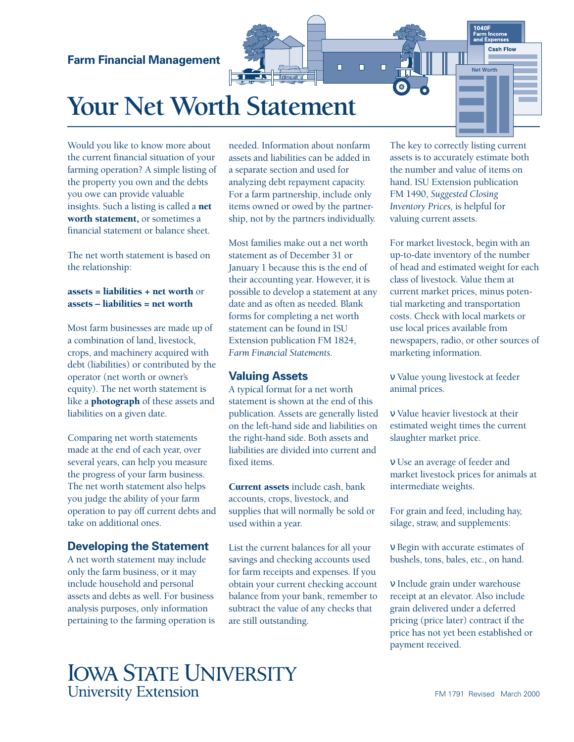### **Farm Financial Management**

# **Your Net Worth Statement**

Would you like to know more about the current financial situation of your farming operation? A simple listing of the property you own and the debts you owe can provide valuable insights. Such a listing is called a net worth statement, or sometimes a financial statement or balance sheet.

The net worth statement is based on the relationship:

#### assets = liabilities + net worth or assets – liabilities = net worth

Most farm businesses are made up of a combination of land, livestock, crops, and machinery acquired with debt (liabilities) or contributed by the operator (net worth or owner's equity). The net worth statement is like a photograph of these assets and liabilities on a given date.

Comparing net worth statements made at the end of each year, over several years, can help you measure the progress of your farm business. The net worth statement also helps you judge the ability of your farm operation to pay off current debts and take on additional ones.

#### **Developing the Statement**

A net worth statement may include only the farm business, or it may include household and personal assets and debts as well. For business analysis purposes, only information pertaining to the farming operation is needed. Information about nonfarm assets and liabilities can be added in a separate section and used for analyzing debt repayment capacity. For a farm partnership, include only items owned or owed by the partnership, not by the partners individually.

**B** *Laradi* 

 $\Box$ 

Ō

 $\Box$ 

Most families make out a net worth statement as of December 31 or January 1 because this is the end of their accounting year. However, it is possible to develop a statement at any date and as often as needed. Blank forms for completing a net worth statement can be found in ISU Extension publication FM 1824, *Farm Financial Statements.*

#### **Valuing Assets**

A typical format for a net worth statement is shown at the end of this publication. Assets are generally listed on the left-hand side and liabilities on the right-hand side. Both assets and liabilities are divided into current and fixed items.

Current assets include cash, bank accounts, crops, livestock, and supplies that will normally be sold or used within a year.

List the current balances for all your savings and checking accounts used for farm receipts and expenses. If you obtain your current checking account balance from your bank, remember to subtract the value of any checks that are still outstanding.

The key to correctly listing current assets is to accurately estimate both the number and value of items on hand. ISU Extension publication FM 1490, *Suggested Closing Inventory Prices,* is helpful for valuing current assets.

1040F ייט<br>Farm Income<br>and Expense **Cash Flow** 

Net Worth

For market livestock, begin with an up-to-date inventory of the number of head and estimated weight for each class of livestock. Value them at current market prices, minus potential marketing and transportation costs. Check with local markets or use local prices available from newspapers, radio, or other sources of marketing information.

ν Value young livestock at feeder animal prices.

ν Value heavier livestock at their estimated weight times the current slaughter market price.

ν Use an average of feeder and market livestock prices for animals at intermediate weights.

For grain and feed, including hay, silage, straw, and supplements:

ν Begin with accurate estimates of bushels, tons, bales, etc., on hand.

ν Include grain under warehouse receipt at an elevator. Also include grain delivered under a deferred pricing (price later) contract if the price has not yet been established or payment received.

# **IOWA STATE UNIVERSITY University Extension**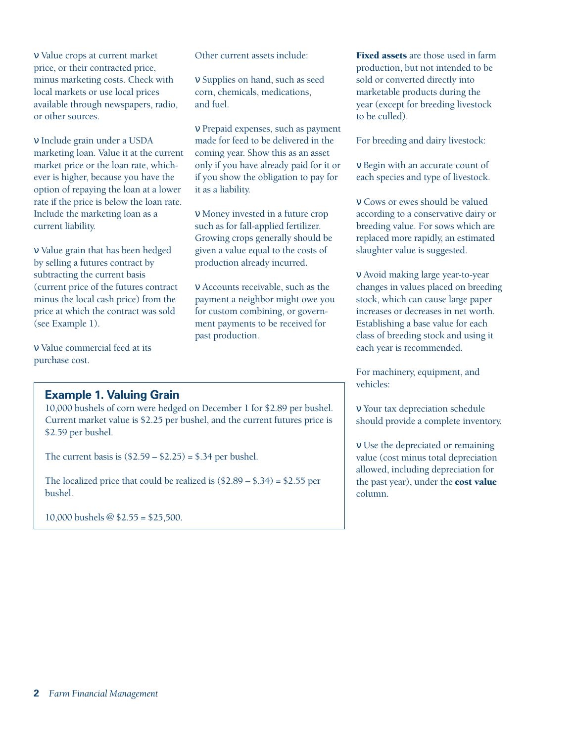ν Value crops at current market price, or their contracted price, minus marketing costs. Check with local markets or use local prices available through newspapers, radio, or other sources.

ν Include grain under a USDA marketing loan. Value it at the current market price or the loan rate, whichever is higher, because you have the option of repaying the loan at a lower rate if the price is below the loan rate. Include the marketing loan as a current liability.

ν Value grain that has been hedged by selling a futures contract by subtracting the current basis (current price of the futures contract minus the local cash price) from the price at which the contract was sold (see Example 1).

ν Value commercial feed at its purchase cost.

#### **Example 1. Valuing Grain**

10,000 bushels of corn were hedged on December 1 for \$2.89 per bushel. Current market value is \$2.25 per bushel, and the current futures price is \$2.59 per bushel.

The current basis is  $(\$2.59 - \$2.25) = \$.34$  per bushel.

The localized price that could be realized is (\$2.89 – \$.34) = \$2.55 per bushel.

10,000 bushels @ \$2.55 = \$25,500.

Other current assets include:

ν Supplies on hand, such as seed corn, chemicals, medications, and fuel.

ν Prepaid expenses, such as payment made for feed to be delivered in the coming year. Show this as an asset only if you have already paid for it or if you show the obligation to pay for it as a liability.

ν Money invested in a future crop such as for fall-applied fertilizer. Growing crops generally should be given a value equal to the costs of production already incurred.

ν Accounts receivable, such as the payment a neighbor might owe you for custom combining, or government payments to be received for past production.

Fixed assets are those used in farm production, but not intended to be sold or converted directly into marketable products during the year (except for breeding livestock to be culled).

For breeding and dairy livestock:

ν Begin with an accurate count of each species and type of livestock.

ν Cows or ewes should be valued according to a conservative dairy or breeding value. For sows which are replaced more rapidly, an estimated slaughter value is suggested.

ν Avoid making large year-to-year changes in values placed on breeding stock, which can cause large paper increases or decreases in net worth. Establishing a base value for each class of breeding stock and using it each year is recommended.

For machinery, equipment, and vehicles:

ν Your tax depreciation schedule should provide a complete inventory.

ν Use the depreciated or remaining value (cost minus total depreciation allowed, including depreciation for the past year), under the cost value column.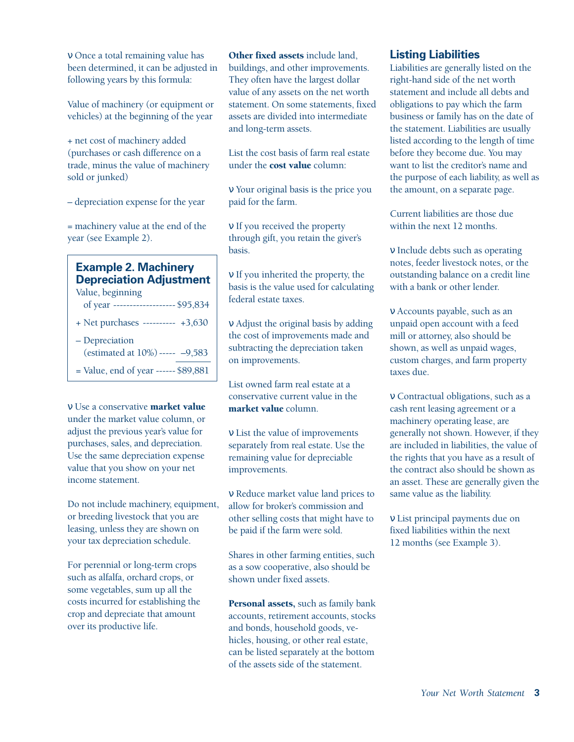ν Once a total remaining value has been determined, it can be adjusted in following years by this formula:

Value of machinery (or equipment or vehicles) at the beginning of the year

+ net cost of machinery added (purchases or cash difference on a trade, minus the value of machinery sold or junked)

– depreciation expense for the year

= machinery value at the end of the year (see Example 2).

### **Example 2. Machinery Depreciation Adjustment**

Value, beginning of year ------------------- \$95,834

- + Net purchases ---------- +3,630
- Depreciation (estimated at 10%)----- –9,583
- = Value, end of year ------ \$89,881

ν Use a conservative market value under the market value column, or adjust the previous year's value for purchases, sales, and depreciation. Use the same depreciation expense value that you show on your net income statement.

Do not include machinery, equipment, or breeding livestock that you are leasing, unless they are shown on your tax depreciation schedule.

For perennial or long-term crops such as alfalfa, orchard crops, or some vegetables, sum up all the costs incurred for establishing the crop and depreciate that amount over its productive life.

## Other fixed assets include land,

buildings, and other improvements. They often have the largest dollar value of any assets on the net worth statement. On some statements, fixed assets are divided into intermediate and long-term assets.

List the cost basis of farm real estate under the cost value column:

ν Your original basis is the price you paid for the farm.

ν If you received the property through gift, you retain the giver's basis.

ν If you inherited the property, the basis is the value used for calculating federal estate taxes.

ν Adjust the original basis by adding the cost of improvements made and subtracting the depreciation taken on improvements.

List owned farm real estate at a conservative current value in the market value column.

ν List the value of improvements separately from real estate. Use the remaining value for depreciable improvements.

ν Reduce market value land prices to allow for broker's commission and other selling costs that might have to be paid if the farm were sold.

Shares in other farming entities, such as a sow cooperative, also should be shown under fixed assets.

Personal assets, such as family bank accounts, retirement accounts, stocks and bonds, household goods, vehicles, housing, or other real estate, can be listed separately at the bottom of the assets side of the statement.

#### **Listing Liabilities**

Liabilities are generally listed on the right-hand side of the net worth statement and include all debts and obligations to pay which the farm business or family has on the date of the statement. Liabilities are usually listed according to the length of time before they become due. You may want to list the creditor's name and the purpose of each liability, as well as the amount, on a separate page.

Current liabilities are those due within the next 12 months.

ν Include debts such as operating notes, feeder livestock notes, or the outstanding balance on a credit line with a bank or other lender.

ν Accounts payable, such as an unpaid open account with a feed mill or attorney, also should be shown, as well as unpaid wages, custom charges, and farm property taxes due.

ν Contractual obligations, such as a cash rent leasing agreement or a machinery operating lease, are generally not shown. However, if they are included in liabilities, the value of the rights that you have as a result of the contract also should be shown as an asset. These are generally given the same value as the liability.

ν List principal payments due on fixed liabilities within the next 12 months (see Example 3).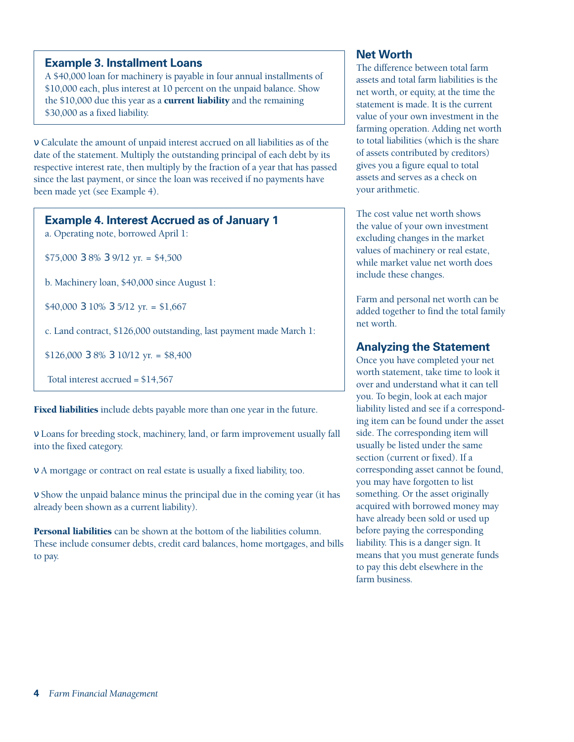#### **Example 3. Installment Loans**

A \$40,000 loan for machinery is payable in four annual installments of \$10,000 each, plus interest at 10 percent on the unpaid balance. Show the \$10,000 due this year as a **current liability** and the remaining \$30,000 as a fixed liability.

ν Calculate the amount of unpaid interest accrued on all liabilities as of the date of the statement. Multiply the outstanding principal of each debt by its respective interest rate, then multiply by the fraction of a year that has passed since the last payment, or since the loan was received if no payments have been made yet (see Example 4).

#### **Example 4. Interest Accrued as of January 1**

a. Operating note, borrowed April 1:

\$75,000 3 8% 3 9/12 yr. = \$4,500

b. Machinery loan, \$40,000 since August 1:

\$40,000 3 10% 3 5/12 yr. = \$1,667

c. Land contract, \$126,000 outstanding, last payment made March 1:

\$126,000 3 8% 3 10/12 yr. = \$8,400

Total interest accrued = \$14,567

Fixed liabilities include debts payable more than one year in the future.

ν Loans for breeding stock, machinery, land, or farm improvement usually fall into the fixed category.

ν A mortgage or contract on real estate is usually a fixed liability, too.

ν Show the unpaid balance minus the principal due in the coming year (it has already been shown as a current liability).

Personal liabilities can be shown at the bottom of the liabilities column. These include consumer debts, credit card balances, home mortgages, and bills to pay.

#### **Net Worth**

The difference between total farm assets and total farm liabilities is the net worth, or equity, at the time the statement is made. It is the current value of your own investment in the farming operation. Adding net worth to total liabilities (which is the share of assets contributed by creditors) gives you a figure equal to total assets and serves as a check on your arithmetic.

The cost value net worth shows the value of your own investment excluding changes in the market values of machinery or real estate, while market value net worth does include these changes.

Farm and personal net worth can be added together to find the total family net worth.

#### **Analyzing the Statement**

Once you have completed your net worth statement, take time to look it over and understand what it can tell you. To begin, look at each major liability listed and see if a corresponding item can be found under the asset side. The corresponding item will usually be listed under the same section (current or fixed). If a corresponding asset cannot be found, you may have forgotten to list something. Or the asset originally acquired with borrowed money may have already been sold or used up before paying the corresponding liability. This is a danger sign. It means that you must generate funds to pay this debt elsewhere in the farm business.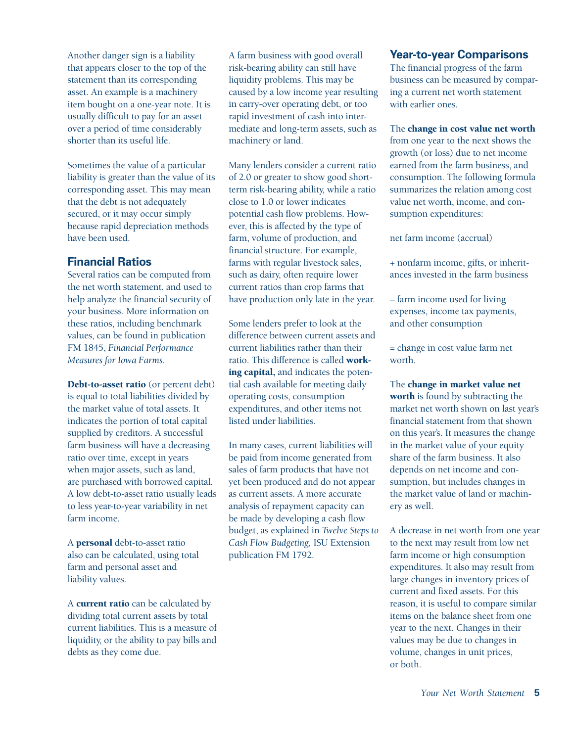Another danger sign is a liability that appears closer to the top of the statement than its corresponding asset. An example is a machinery item bought on a one-year note. It is usually difficult to pay for an asset over a period of time considerably shorter than its useful life.

Sometimes the value of a particular liability is greater than the value of its corresponding asset. This may mean that the debt is not adequately secured, or it may occur simply because rapid depreciation methods have been used.

#### **Financial Ratios**

Several ratios can be computed from the net worth statement, and used to help analyze the financial security of your business. More information on these ratios, including benchmark values, can be found in publication FM 1845, *Financial Performance Measures for Iowa Farms.*

Debt-to-asset ratio (or percent debt) is equal to total liabilities divided by the market value of total assets. It indicates the portion of total capital supplied by creditors. A successful farm business will have a decreasing ratio over time, except in years when major assets, such as land, are purchased with borrowed capital. A low debt-to-asset ratio usually leads to less year-to-year variability in net farm income.

A personal debt-to-asset ratio also can be calculated, using total farm and personal asset and liability values.

A current ratio can be calculated by dividing total current assets by total current liabilities. This is a measure of liquidity, or the ability to pay bills and debts as they come due.

A farm business with good overall risk-bearing ability can still have liquidity problems. This may be caused by a low income year resulting in carry-over operating debt, or too rapid investment of cash into intermediate and long-term assets, such as machinery or land.

Many lenders consider a current ratio of 2.0 or greater to show good shortterm risk-bearing ability, while a ratio close to 1.0 or lower indicates potential cash flow problems. However, this is affected by the type of farm, volume of production, and financial structure. For example, farms with regular livestock sales, such as dairy, often require lower current ratios than crop farms that have production only late in the year.

Some lenders prefer to look at the difference between current assets and current liabilities rather than their ratio. This difference is called working capital, and indicates the potential cash available for meeting daily operating costs, consumption expenditures, and other items not listed under liabilities.

In many cases, current liabilities will be paid from income generated from sales of farm products that have not yet been produced and do not appear as current assets. A more accurate analysis of repayment capacity can be made by developing a cash flow budget, as explained in *Twelve Steps to Cash Flow Budgeting,* ISU Extension publication FM 1792.

#### **Year-to-year Comparisons**

The financial progress of the farm business can be measured by comparing a current net worth statement with earlier ones.

The change in cost value net worth

from one year to the next shows the growth (or loss) due to net income earned from the farm business, and consumption. The following formula summarizes the relation among cost value net worth, income, and consumption expenditures:

net farm income (accrual)

+ nonfarm income, gifts, or inheritances invested in the farm business

– farm income used for living expenses, income tax payments, and other consumption

= change in cost value farm net worth.

The change in market value net worth is found by subtracting the market net worth shown on last year's financial statement from that shown on this year's. It measures the change in the market value of your equity share of the farm business. It also depends on net income and consumption, but includes changes in the market value of land or machinery as well.

A decrease in net worth from one year to the next may result from low net farm income or high consumption expenditures. It also may result from large changes in inventory prices of current and fixed assets. For this reason, it is useful to compare similar items on the balance sheet from one year to the next. Changes in their values may be due to changes in volume, changes in unit prices, or both.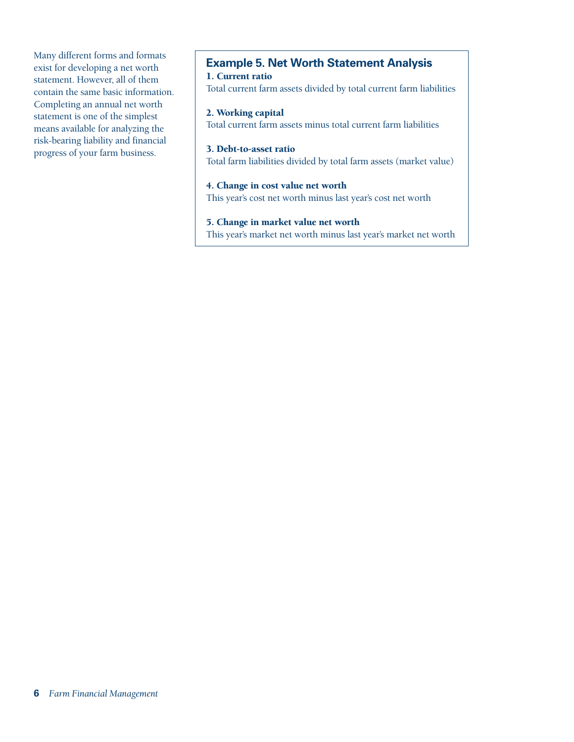Many different forms and formats exist for developing a net worth statement. However, all of them contain the same basic information. Completing an annual net worth statement is one of the simplest means available for analyzing the risk-bearing liability and financial progress of your farm business.

#### **Example 5. Net Worth Statement Analysis** 1. Current ratio

Total current farm assets divided by total current farm liabilities

#### 2. Working capital

Total current farm assets minus total current farm liabilities

#### 3. Debt-to-asset ratio

Total farm liabilities divided by total farm assets (market value)

#### 4. Change in cost value net worth

This year's cost net worth minus last year's cost net worth

#### 5. Change in market value net worth

This year's market net worth minus last year's market net worth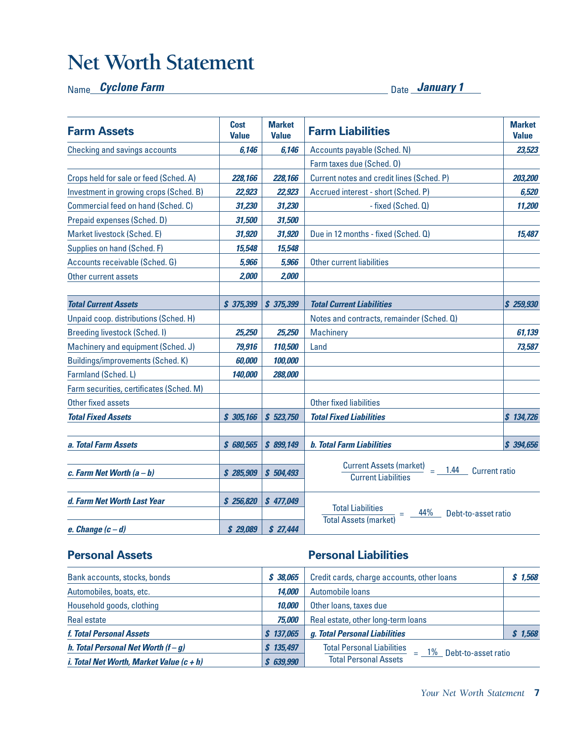# **Net Worth Statement**

#### Name Date **Cyclone Farm January 1**

| <b>Farm Assets</b>                       | <b>Cost</b><br><b>Value</b> | <b>Market</b><br><b>Value</b> | <b>Farm Liabilities</b>                                                                      | <b>Market</b><br><b>Value</b> |
|------------------------------------------|-----------------------------|-------------------------------|----------------------------------------------------------------------------------------------|-------------------------------|
| <b>Checking and savings accounts</b>     | 6,146                       | 6,146                         | Accounts payable (Sched. N)                                                                  | 23,523                        |
|                                          |                             |                               | Farm taxes due (Sched. 0)                                                                    |                               |
| Crops held for sale or feed (Sched, A)   | 228,166                     | 228,166                       | Current notes and credit lines (Sched. P)                                                    | 203,200                       |
| Investment in growing crops (Sched. B)   | 22,923                      | 22,923                        | Accrued interest - short (Sched. P)                                                          | 6,520                         |
| Commercial feed on hand (Sched. C)       | 31,230                      | 31,230                        | - fixed (Sched. Q)                                                                           | 11,200                        |
| Prepaid expenses (Sched. D)              | 31,500                      | 31,500                        |                                                                                              |                               |
| Market livestock (Sched. E)              | 31,920                      | 31,920                        | Due in 12 months - fixed (Sched. Q)                                                          | 15,487                        |
| Supplies on hand (Sched. F)              | 15,548                      | 15,548                        |                                                                                              |                               |
| Accounts receivable (Sched. G)           | 5,966                       | 5,966                         | <b>Other current liabilities</b>                                                             |                               |
| Other current assets                     | 2,000                       | 2,000                         |                                                                                              |                               |
|                                          |                             |                               |                                                                                              |                               |
| <b>Total Current Assets</b>              | \$375,399                   | \$375,399                     | <b>Total Current Liabilities</b>                                                             | \$259,930                     |
| Unpaid coop. distributions (Sched. H)    |                             |                               | Notes and contracts, remainder (Sched. Q)                                                    |                               |
| <b>Breeding livestock (Sched. I)</b>     | 25,250                      | 25,250                        | <b>Machinery</b>                                                                             | 61,139                        |
| Machinery and equipment (Sched. J)       | 79,916                      | 110,500                       | Land                                                                                         | 73,587                        |
| Buildings/improvements (Sched. K)        | 60,000                      | 100,000                       |                                                                                              |                               |
| Farmland (Sched. L)                      | 140,000                     | 288,000                       |                                                                                              |                               |
| Farm securities, certificates (Sched. M) |                             |                               |                                                                                              |                               |
| Other fixed assets                       |                             |                               | <b>Other fixed liabilities</b>                                                               |                               |
| <b>Total Fixed Assets</b>                | \$305,166                   | \$523,750                     | <b>Total Fixed Liabilities</b>                                                               | \$134,726                     |
| a. Total Farm Assets                     | \$ 680,565                  | \$899,149                     | <b>b. Total Farm Liabilities</b>                                                             | \$394,656                     |
| c. Farm Net Worth $(a - b)$              | \$285,909                   | \$504,493                     | <b>Current Assets (market)</b><br>1.44<br><b>Current ratio</b><br><b>Current Liabilities</b> |                               |
| d. Farm Net Worth Last Year              | \$256,820                   | \$477,049                     | <b>Total Liabilities</b><br>44%<br>Debt-to-asset ratio                                       |                               |
| e. Change $(c-d)$                        | \$29,089                    | \$27,444                      | <b>Total Assets (market)</b>                                                                 |                               |

### **Personal Assets Personal Liabilities**

| Bank accounts, stocks, bonds                                 | \$ 38.065 | Credit cards, charge accounts, other loans                      | \$1,568 |
|--------------------------------------------------------------|-----------|-----------------------------------------------------------------|---------|
| Automobiles, boats, etc.                                     | 14.000    | Automobile loans                                                |         |
| Household goods, clothing                                    | 10,000    | Other loans, taxes due                                          |         |
| <b>Real estate</b>                                           | 75,000    | Real estate, other long-term loans                              |         |
| f. Total Personal Assets                                     | \$137.065 | g. Total Personal Liabilities                                   | \$1,568 |
| h. Total Personal Net Worth $(f-g)$                          | 135,497   | <b>Total Personal Liabilities</b><br>$=$ 1% Debt-to-asset ratio |         |
| <i>i. Total Net Worth, Market Value <math>(c + h)</math></i> | \$639,990 | <b>Total Personal Assets</b>                                    |         |